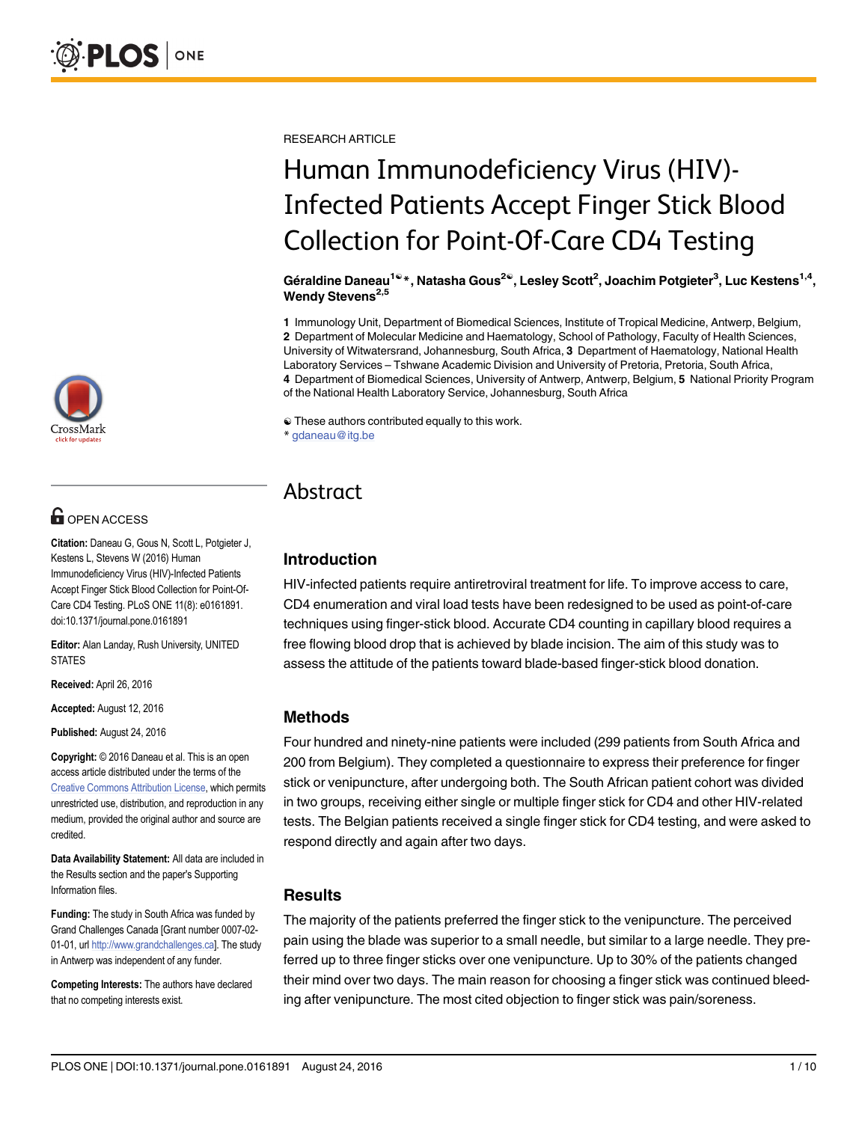

# **G** OPEN ACCESS

Citation: Daneau G, Gous N, Scott L, Potgieter J, Kestens L, Stevens W (2016) Human Immunodeficiency Virus (HIV)-Infected Patients Accept Finger Stick Blood Collection for Point-Of-Care CD4 Testing. PLoS ONE 11(8): e0161891. doi:10.1371/journal.pone.0161891

Editor: Alan Landay, Rush University, UNITED **STATES** 

Received: April 26, 2016

Accepted: August 12, 2016

Published: August 24, 2016

Copyright: © 2016 Daneau et al. This is an open access article distributed under the terms of the [Creative Commons Attribution License,](http://creativecommons.org/licenses/by/4.0/) which permits unrestricted use, distribution, and reproduction in any medium, provided the original author and source are credited.

Data Availability Statement: All data are included in the Results section and the paper's Supporting Information files.

Funding: The study in South Africa was funded by Grand Challenges Canada [Grant number 0007-02 01-01, url <http://www.grandchallenges.ca>]. The study in Antwerp was independent of any funder.

Competing Interests: The authors have declared that no competing interests exist.

RESEARCH ARTICLE

# Human Immunodeficiency Virus (HIV)- Infected Patients Accept Finger Stick Blood Collection for Point-Of-Care CD4 Testing

Géraldine Daneau<sup>1ଢ</sup>\*, Natasha Gous<sup>2ଢ</sup>, Lesley Scott<sup>2</sup>, Joachim Potgieter<sup>3</sup>, Luc Kestens<sup>1,4</sup>, Wendy Stevens<sup>2,5</sup>

1 Immunology Unit, Department of Biomedical Sciences, Institute of Tropical Medicine, Antwerp, Belgium, 2 Department of Molecular Medicine and Haematology, School of Pathology, Faculty of Health Sciences, University of Witwatersrand, Johannesburg, South Africa, 3 Department of Haematology, National Health Laboratory Services – Tshwane Academic Division and University of Pretoria, Pretoria, South Africa, 4 Department of Biomedical Sciences, University of Antwerp, Antwerp, Belgium, 5 National Priority Program of the National Health Laboratory Service, Johannesburg, South Africa

☯ These authors contributed equally to this work.

\* gdaneau@itg.be

# Abstract

# Introduction

HIV-infected patients require antiretroviral treatment for life. To improve access to care, CD4 enumeration and viral load tests have been redesigned to be used as point-of-care techniques using finger-stick blood. Accurate CD4 counting in capillary blood requires a free flowing blood drop that is achieved by blade incision. The aim of this study was to assess the attitude of the patients toward blade-based finger-stick blood donation.

# Methods

Four hundred and ninety-nine patients were included (299 patients from South Africa and 200 from Belgium). They completed a questionnaire to express their preference for finger stick or venipuncture, after undergoing both. The South African patient cohort was divided in two groups, receiving either single or multiple finger stick for CD4 and other HIV-related tests. The Belgian patients received a single finger stick for CD4 testing, and were asked to respond directly and again after two days.

# **Results**

The majority of the patients preferred the finger stick to the venipuncture. The perceived pain using the blade was superior to a small needle, but similar to a large needle. They preferred up to three finger sticks over one venipuncture. Up to 30% of the patients changed their mind over two days. The main reason for choosing a finger stick was continued bleeding after venipuncture. The most cited objection to finger stick was pain/soreness.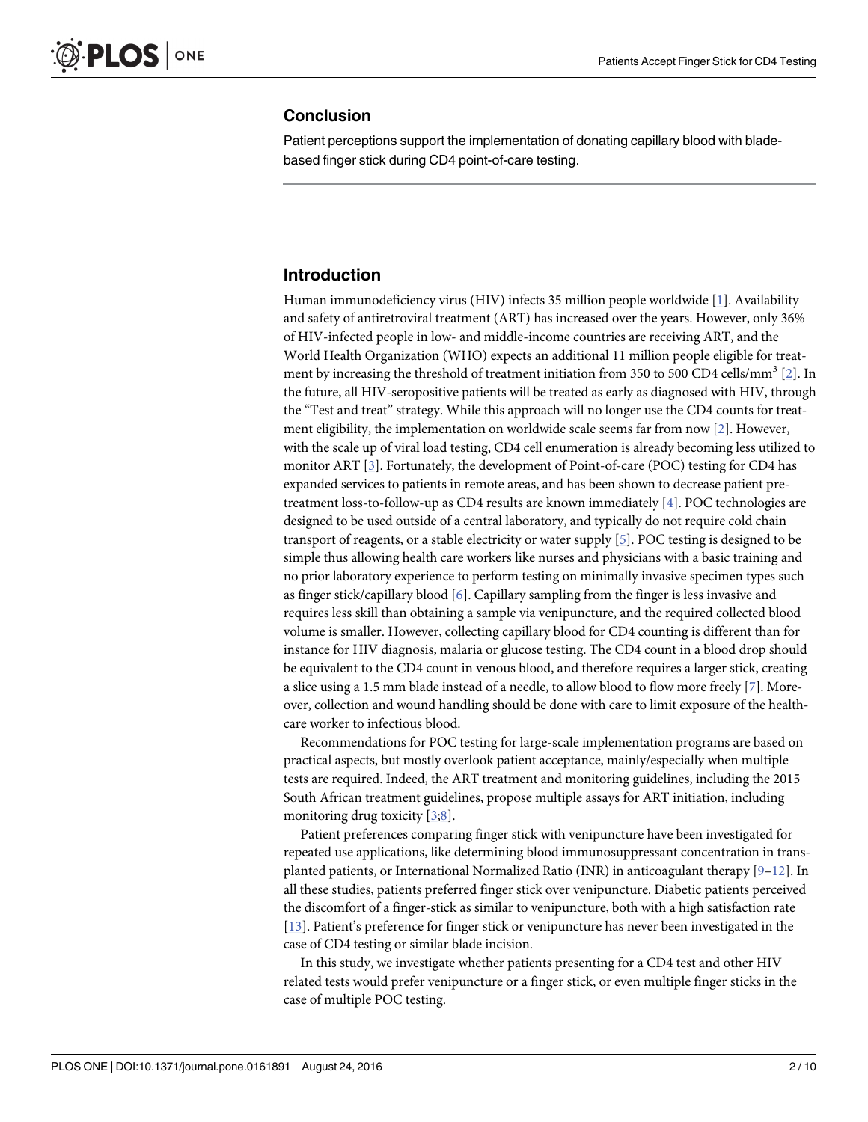# <span id="page-1-0"></span>Conclusion

Patient perceptions support the implementation of donating capillary blood with bladebased finger stick during CD4 point-of-care testing.

# Introduction

Human immunodeficiency virus (HIV) infects 35 million people worldwide [[1](#page-8-0)]. Availability and safety of antiretroviral treatment (ART) has increased over the years. However, only 36% of HIV-infected people in low- and middle-income countries are receiving ART, and the World Health Organization (WHO) expects an additional 11 million people eligible for treat-ment by increasing the threshold of treatment initiation from 350 to 500 CD4 cells/mm<sup>3</sup> [[2](#page-8-0)]. In the future, all HIV-seropositive patients will be treated as early as diagnosed with HIV, through the "Test and treat" strategy. While this approach will no longer use the CD4 counts for treatment eligibility, the implementation on worldwide scale seems far from now [[2](#page-8-0)]. However, with the scale up of viral load testing, CD4 cell enumeration is already becoming less utilized to monitor ART [[3\]](#page-8-0). Fortunately, the development of Point-of-care (POC) testing for CD4 has expanded services to patients in remote areas, and has been shown to decrease patient pretreatment loss-to-follow-up as CD4 results are known immediately [\[4](#page-8-0)]. POC technologies are designed to be used outside of a central laboratory, and typically do not require cold chain transport of reagents, or a stable electricity or water supply [\[5\]](#page-8-0). POC testing is designed to be simple thus allowing health care workers like nurses and physicians with a basic training and no prior laboratory experience to perform testing on minimally invasive specimen types such as finger stick/capillary blood [[6\]](#page-8-0). Capillary sampling from the finger is less invasive and requires less skill than obtaining a sample via venipuncture, and the required collected blood volume is smaller. However, collecting capillary blood for CD4 counting is different than for instance for HIV diagnosis, malaria or glucose testing. The CD4 count in a blood drop should be equivalent to the CD4 count in venous blood, and therefore requires a larger stick, creating a slice using a 1.5 mm blade instead of a needle, to allow blood to flow more freely [\[7](#page-8-0)]. Moreover, collection and wound handling should be done with care to limit exposure of the healthcare worker to infectious blood.

Recommendations for POC testing for large-scale implementation programs are based on practical aspects, but mostly overlook patient acceptance, mainly/especially when multiple tests are required. Indeed, the ART treatment and monitoring guidelines, including the 2015 South African treatment guidelines, propose multiple assays for ART initiation, including monitoring drug toxicity [[3;](#page-8-0)[8\]](#page-9-0).

Patient preferences comparing finger stick with venipuncture have been investigated for repeated use applications, like determining blood immunosuppressant concentration in transplanted patients, or International Normalized Ratio (INR) in anticoagulant therapy [[9](#page-9-0)–[12](#page-9-0)]. In all these studies, patients preferred finger stick over venipuncture. Diabetic patients perceived the discomfort of a finger-stick as similar to venipuncture, both with a high satisfaction rate [\[13](#page-9-0)]. Patient's preference for finger stick or venipuncture has never been investigated in the case of CD4 testing or similar blade incision.

In this study, we investigate whether patients presenting for a CD4 test and other HIV related tests would prefer venipuncture or a finger stick, or even multiple finger sticks in the case of multiple POC testing.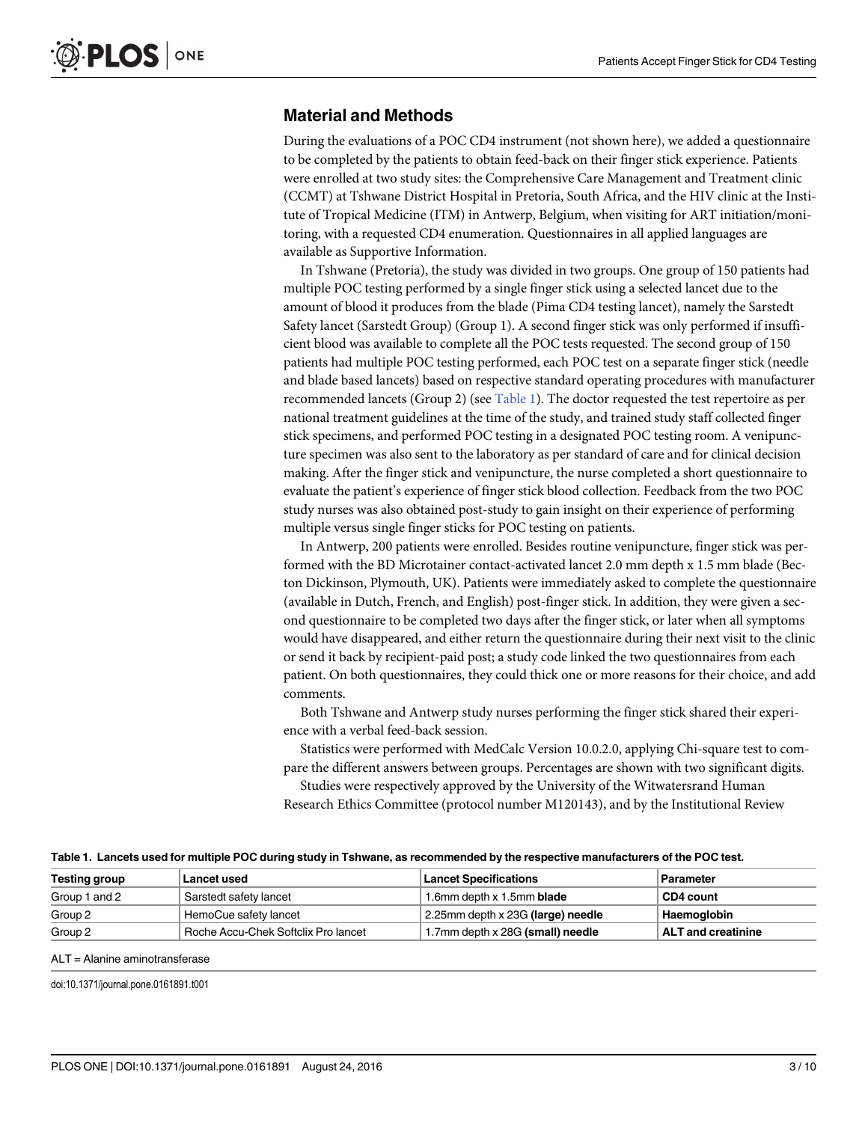# Material and Methods

During the evaluations of a POC CD4 instrument (not shown here), we added a questionnaire to be completed by the patients to obtain feed-back on their finger stick experience. Patients were enrolled at two study sites: the Comprehensive Care Management and Treatment clinic (CCMT) at Tshwane District Hospital in Pretoria, South Africa, and the HIV clinic at the Institute of Tropical Medicine (ITM) in Antwerp, Belgium, when visiting for ART initiation/monitoring, with a requested CD4 enumeration. Questionnaires in all applied languages are available as Supportive Information.

In Tshwane (Pretoria), the study was divided in two groups. One group of 150 patients had multiple POC testing performed by a single finger stick using a selected lancet due to the amount of blood it produces from the blade (Pima CD4 testing lancet), namely the Sarstedt Safety lancet (Sarstedt Group) (Group 1). A second finger stick was only performed if insufficient blood was available to complete all the POC tests requested. The second group of 150 patients had multiple POC testing performed, each POC test on a separate finger stick (needle and blade based lancets) based on respective standard operating procedures with manufacturer recommended lancets (Group 2) (see Table 1). The doctor requested the test repertoire as per national treatment guidelines at the time of the study, and trained study staff collected finger stick specimens, and performed POC testing in a designated POC testing room. A venipuncture specimen was also sent to the laboratory as per standard of care and for clinical decision making. After the finger stick and venipuncture, the nurse completed a short questionnaire to evaluate the patient's experience of finger stick blood collection. Feedback from the two POC study nurses was also obtained post-study to gain insight on their experience of performing multiple versus single finger sticks for POC testing on patients.

In Antwerp, 200 patients were enrolled. Besides routine venipuncture, finger stick was performed with the BD Microtainer contact-activated lancet 2.0 mm depth x 1.5 mm blade (Becton Dickinson, Plymouth, UK). Patients were immediately asked to complete the questionnaire (available in Dutch, French, and English) post-finger stick. In addition, they were given a second questionnaire to be completed two days after the finger stick, or later when all symptoms would have disappeared, and either return the questionnaire during their next visit to the clinic or send it back by recipient-paid post; a study code linked the two questionnaires from each patient. On both questionnaires, they could thick one or more reasons for their choice, and add comments.

Both Tshwane and Antwerp study nurses performing the finger stick shared their experience with a verbal feed-back session.

Statistics were performed with MedCalc Version 10.0.2.0, applying Chi-square test to compare the different answers between groups. Percentages are shown with two significant digits.

Studies were respectively approved by the University of the Witwatersrand Human Research Ethics Committee (protocol number M120143), and by the Institutional Review

Table 1. Lancets used for multiple POC during study in Tshwane, as recommended by the respective manufacturers of the POC test.

| <b>Testing group</b> | Lancet used                         | <b>Lancet Specifications</b>      | <b>Parameter</b>          |
|----------------------|-------------------------------------|-----------------------------------|---------------------------|
| Group 1 and 2        | Sarstedt safety lancet              | 1.6mm depth x 1.5mm <b>blade</b>  | CD4 count                 |
| Group 2              | HemoCue safety lancet               | 2.25mm depth x 23G (large) needle | Haemoglobin               |
| Group 2              | Roche Accu-Chek Softclix Pro lancet | 1.7mm depth x 28G (small) needle  | <b>ALT</b> and creatinine |

ALT = Alanine aminotransferase

doi:10.1371/journal.pone.0161891.t001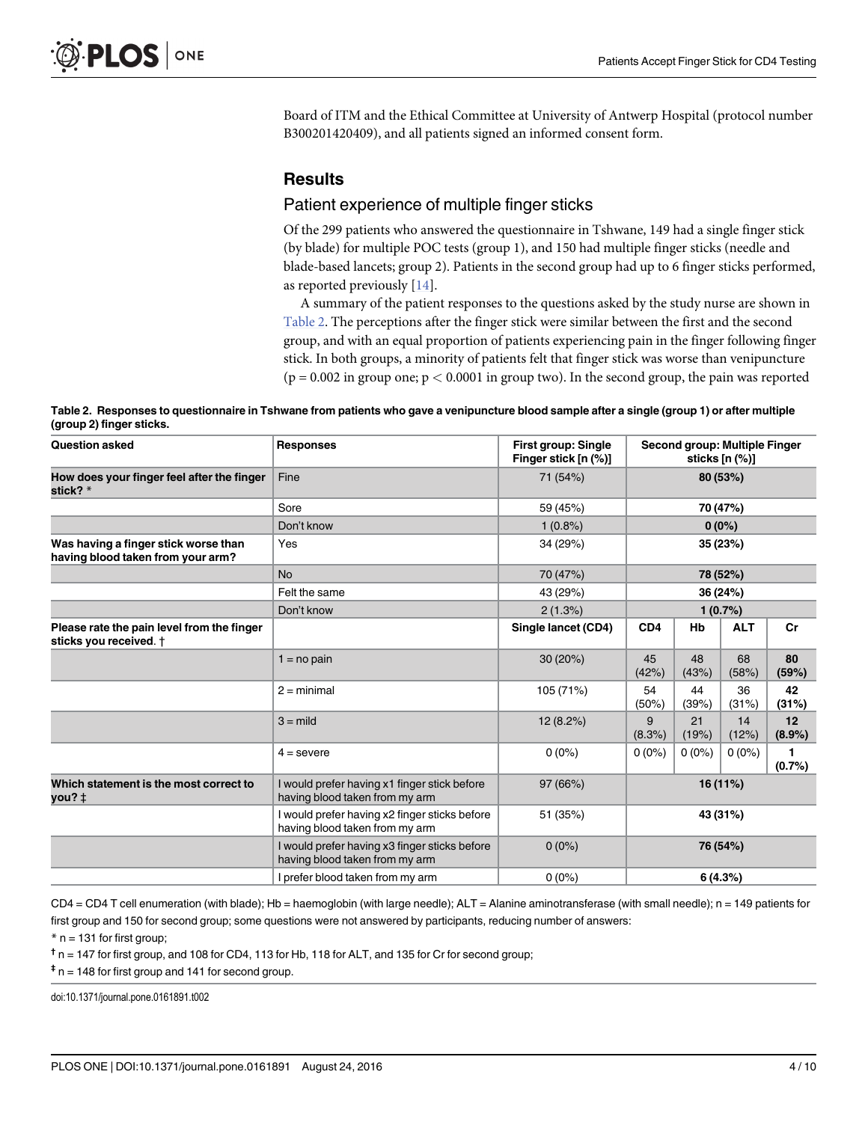<span id="page-3-0"></span>Board of ITM and the Ethical Committee at University of Antwerp Hospital (protocol number B300201420409), and all patients signed an informed consent form.

# **Results**

# Patient experience of multiple finger sticks

Of the 299 patients who answered the questionnaire in Tshwane, 149 had a single finger stick (by blade) for multiple POC tests (group 1), and 150 had multiple finger sticks (needle and blade-based lancets; group 2). Patients in the second group had up to 6 finger sticks performed, as reported previously  $[14]$ .

A summary of the patient responses to the questions asked by the study nurse are shown in Table 2. The perceptions after the finger stick were similar between the first and the second group, and with an equal proportion of patients experiencing pain in the finger following finger stick. In both groups, a minority of patients felt that finger stick was worse than venipuncture  $(p = 0.002$  in group one;  $p < 0.0001$  in group two). In the second group, the pain was reported

| Table 2. Responses to questionnaire in Tshwane from patients who gave a venipuncture blood sample after a single (group 1) or after multiple |  |
|----------------------------------------------------------------------------------------------------------------------------------------------|--|
| (group 2) finger sticks.                                                                                                                     |  |

| <b>Question asked</b>                                                     | <b>Responses</b>                                                                | <b>First group: Single</b><br>Finger stick [n (%)] | Second group: Multiple Finger<br>sticks $[n (%)]$ |             |             |                        |
|---------------------------------------------------------------------------|---------------------------------------------------------------------------------|----------------------------------------------------|---------------------------------------------------|-------------|-------------|------------------------|
| How does your finger feel after the finger<br>stick? $*$                  | Fine                                                                            | 71 (54%)                                           | 80 (53%)                                          |             |             |                        |
|                                                                           | Sore                                                                            | 59 (45%)                                           | 70 (47%)                                          |             |             |                        |
|                                                                           | Don't know                                                                      | $1(0.8\%)$                                         | $0(0\%)$                                          |             |             |                        |
| Was having a finger stick worse than<br>having blood taken from your arm? | Yes                                                                             | 34 (29%)                                           | 35 (23%)                                          |             |             |                        |
|                                                                           | <b>No</b>                                                                       | 70 (47%)                                           | 78 (52%)                                          |             |             |                        |
|                                                                           | Felt the same                                                                   | 43 (29%)                                           | 36 (24%)                                          |             |             |                        |
|                                                                           | Don't know                                                                      | 2(1.3%)                                            | 1(0.7%)                                           |             |             |                        |
| Please rate the pain level from the finger<br>sticks you received. †      |                                                                                 | Single lancet (CD4)                                | CD <sub>4</sub>                                   | Hb          | <b>ALT</b>  | Cr                     |
|                                                                           | $1 = no$ pain                                                                   | 30 (20%)                                           | 45<br>(42%)                                       | 48<br>(43%) | 68<br>(58%) | 80<br>(59%)            |
|                                                                           | $2 = minimal$                                                                   | 105 (71%)                                          | 54<br>(50%)                                       | 44<br>(39%) | 36<br>(31%) | 42<br>(31%)            |
|                                                                           | $3 =$ mild                                                                      | 12(8.2%)                                           | 9<br>(8.3%)                                       | 21<br>(19%) | 14<br>(12%) | 12<br>$(8.9\%)$        |
|                                                                           | $4 =$ severe                                                                    | $0(0\%)$                                           | $0(0\%)$                                          | $0(0\%)$    | $0(0\%)$    | $\mathbf{1}$<br>(0.7%) |
| Which statement is the most correct to<br>you?‡                           | I would prefer having x1 finger stick before<br>having blood taken from my arm  | 97 (66%)                                           | 16 (11%)                                          |             |             |                        |
|                                                                           | I would prefer having x2 finger sticks before<br>having blood taken from my arm | 51 (35%)                                           | 43 (31%)                                          |             |             |                        |
|                                                                           | I would prefer having x3 finger sticks before<br>having blood taken from my arm | $0(0\%)$                                           | 76 (54%)                                          |             |             |                        |
|                                                                           | I prefer blood taken from my arm                                                | $0(0\%)$                                           | 6(4.3%)                                           |             |             |                        |

CD4 = CD4 T cell enumeration (with blade); Hb = haemoglobin (with large needle); ALT = Alanine aminotransferase (with small needle); n = 149 patients for first group and 150 for second group; some questions were not answered by participants, reducing number of answers:

 $*$  n = 131 for first group;

 $<sup>†</sup>$  n = 147 for first group, and 108 for CD4, 113 for Hb, 118 for ALT, and 135 for Cr for second group;</sup>

 $\pm$  n = 148 for first group and 141 for second group.

doi:10.1371/journal.pone.0161891.t002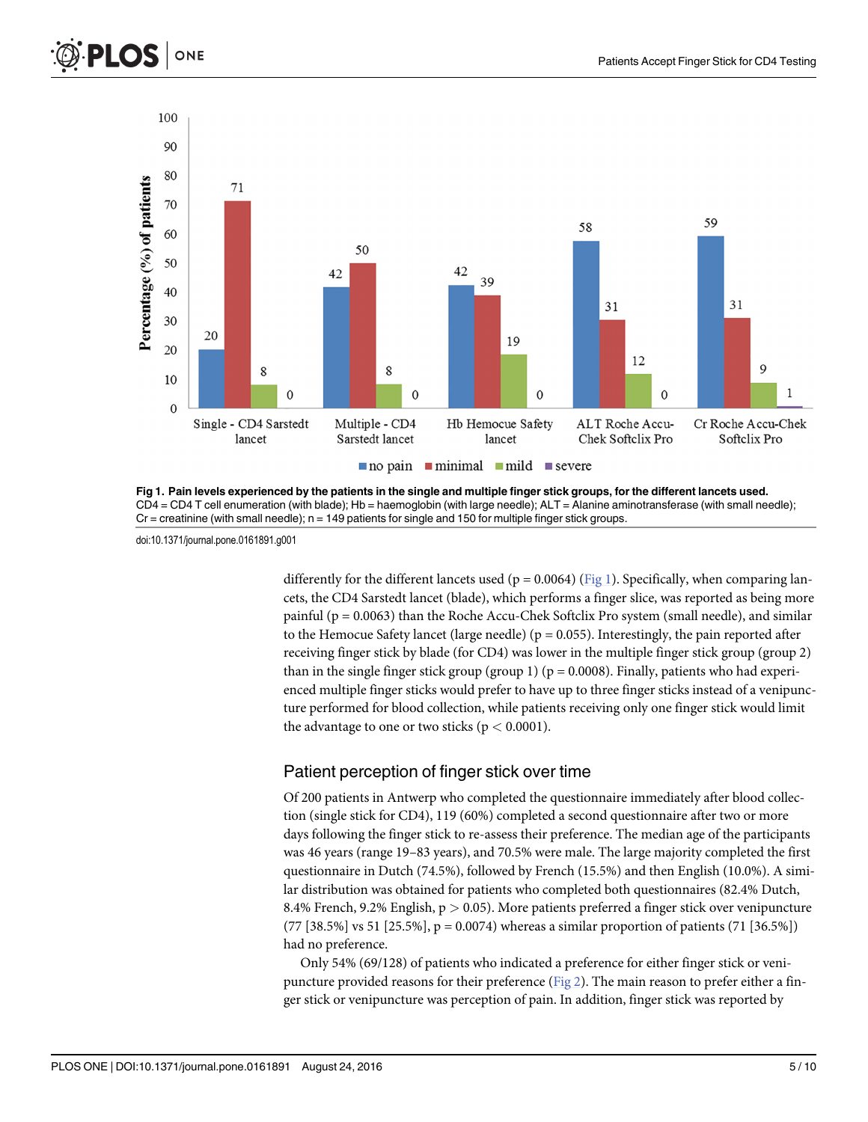<span id="page-4-0"></span>



Fig 1. Pain levels experienced by the patients in the single and multiple finger stick groups, for the different lancets used. CD4 = CD4 T cell enumeration (with blade); Hb = haemoglobin (with large needle); ALT = Alanine aminotransferase (with small needle);  $Cr =$  creatinine (with small needle);  $n = 149$  patients for single and 150 for multiple finger stick groups.

doi:10.1371/journal.pone.0161891.g001

differently for the different lancets used ( $p = 0.0064$ ) (Fig 1). Specifically, when comparing lancets, the CD4 Sarstedt lancet (blade), which performs a finger slice, was reported as being more painful (p = 0.0063) than the Roche Accu-Chek Softclix Pro system (small needle), and similar to the Hemocue Safety lancet (large needle) ( $p = 0.055$ ). Interestingly, the pain reported after receiving finger stick by blade (for CD4) was lower in the multiple finger stick group (group 2) than in the single finger stick group (group 1) ( $p = 0.0008$ ). Finally, patients who had experienced multiple finger sticks would prefer to have up to three finger sticks instead of a venipuncture performed for blood collection, while patients receiving only one finger stick would limit the advantage to one or two sticks ( $p < 0.0001$ ).

# Patient perception of finger stick over time

Of 200 patients in Antwerp who completed the questionnaire immediately after blood collection (single stick for CD4), 119 (60%) completed a second questionnaire after two or more days following the finger stick to re-assess their preference. The median age of the participants was 46 years (range 19–83 years), and 70.5% were male. The large majority completed the first questionnaire in Dutch (74.5%), followed by French (15.5%) and then English (10.0%). A similar distribution was obtained for patients who completed both questionnaires (82.4% Dutch, 8.4% French, 9.2% English,  $p > 0.05$ ). More patients preferred a finger stick over venipuncture  $(77 [38.5\%] vs 51 [25.5\%], p = 0.0074)$  whereas a similar proportion of patients  $(71 [36.5\%])$ had no preference.

Only 54% (69/128) of patients who indicated a preference for either finger stick or venipuncture provided reasons for their preference ( $Fig 2$ ). The main reason to prefer either a finger stick or venipuncture was perception of pain. In addition, finger stick was reported by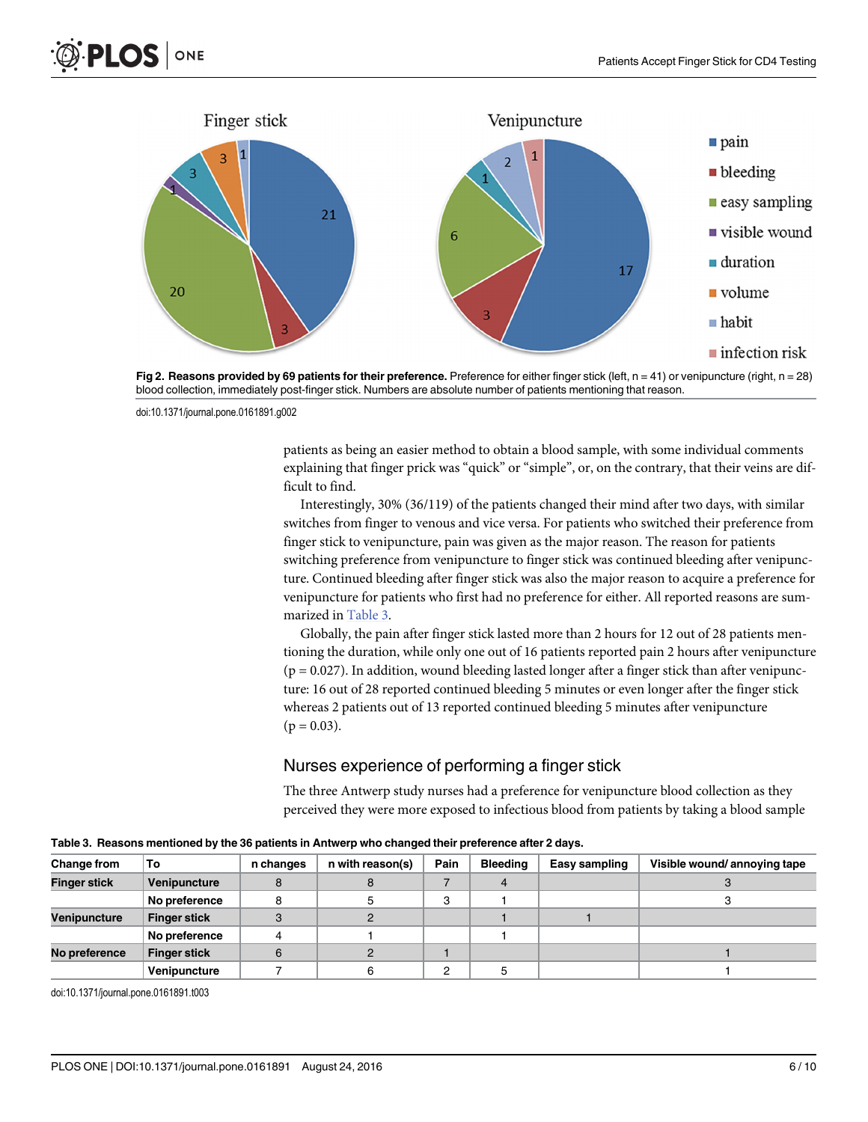<span id="page-5-0"></span>



[Fig 2. R](#page-4-0)easons provided by 69 patients for their preference. Preference for either finger stick (left,  $n = 41$ ) or venipuncture (right,  $n = 28$ ) blood collection, immediately post-finger stick. Numbers are absolute number of patients mentioning that reason.

doi:10.1371/journal.pone.0161891.g002

patients as being an easier method to obtain a blood sample, with some individual comments explaining that finger prick was "quick" or "simple", or, on the contrary, that their veins are difficult to find.

Interestingly, 30% (36/119) of the patients changed their mind after two days, with similar switches from finger to venous and vice versa. For patients who switched their preference from finger stick to venipuncture, pain was given as the major reason. The reason for patients switching preference from venipuncture to finger stick was continued bleeding after venipuncture. Continued bleeding after finger stick was also the major reason to acquire a preference for venipuncture for patients who first had no preference for either. All reported reasons are summarized in Table 3.

Globally, the pain after finger stick lasted more than 2 hours for 12 out of 28 patients mentioning the duration, while only one out of 16 patients reported pain 2 hours after venipuncture  $(p = 0.027)$ . In addition, wound bleeding lasted longer after a finger stick than after venipuncture: 16 out of 28 reported continued bleeding 5 minutes or even longer after the finger stick whereas 2 patients out of 13 reported continued bleeding 5 minutes after venipuncture  $(p = 0.03)$ .

# Nurses experience of performing a finger stick

The three Antwerp study nurses had a preference for venipuncture blood collection as they perceived they were more exposed to infectious blood from patients by taking a blood sample

| <b>Change from</b>  | То                  | n changes | n with reason(s) | Pain | <b>Bleeding</b> | Easy sampling | Visible wound/annoying tape |
|---------------------|---------------------|-----------|------------------|------|-----------------|---------------|-----------------------------|
| <b>Finger stick</b> | Venipuncture        |           |                  |      |                 |               |                             |
|                     | No preference       |           |                  | 3    |                 |               |                             |
| Venipuncture        | <b>Finger stick</b> |           |                  |      |                 |               |                             |
|                     | No preference       |           |                  |      |                 |               |                             |
| No preference       | <b>Finger stick</b> | 6         |                  |      |                 |               |                             |
|                     | Venipuncture        |           |                  | 2    |                 |               |                             |

Table 3. Reasons mentioned by the 36 patients in Antwerp who changed their preference after 2 days.

doi:10.1371/journal.pone.0161891.t003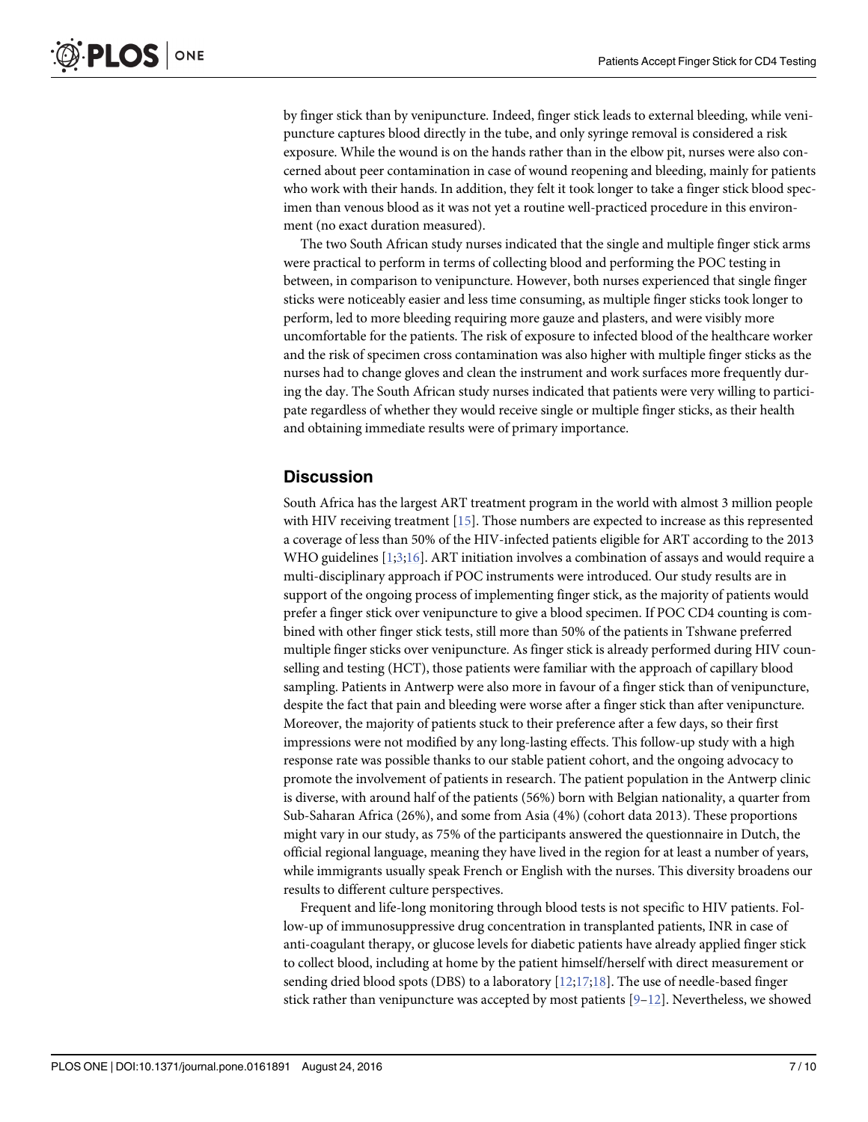<span id="page-6-0"></span>by finger stick than by venipuncture. Indeed, finger stick leads to external bleeding, while venipuncture captures blood directly in the tube, and only syringe removal is considered a risk exposure. While the wound is on the hands rather than in the elbow pit, nurses were also concerned about peer contamination in case of wound reopening and bleeding, mainly for patients who work with their hands. In addition, they felt it took longer to take a finger stick blood specimen than venous blood as it was not yet a routine well-practiced procedure in this environment (no exact duration measured).

The two South African study nurses indicated that the single and multiple finger stick arms were practical to perform in terms of collecting blood and performing the POC testing in between, in comparison to venipuncture. However, both nurses experienced that single finger sticks were noticeably easier and less time consuming, as multiple finger sticks took longer to perform, led to more bleeding requiring more gauze and plasters, and were visibly more uncomfortable for the patients. The risk of exposure to infected blood of the healthcare worker and the risk of specimen cross contamination was also higher with multiple finger sticks as the nurses had to change gloves and clean the instrument and work surfaces more frequently during the day. The South African study nurses indicated that patients were very willing to participate regardless of whether they would receive single or multiple finger sticks, as their health and obtaining immediate results were of primary importance.

# **Discussion**

South Africa has the largest ART treatment program in the world with almost 3 million people with HIV receiving treatment [[15](#page-9-0)]. Those numbers are expected to increase as this represented a coverage of less than 50% of the HIV-infected patients eligible for ART according to the 2013 WHO guidelines  $[1;3;16]$  $[1;3;16]$  $[1;3;16]$  $[1;3;16]$  $[1;3;16]$ . ART initiation involves a combination of assays and would require a multi-disciplinary approach if POC instruments were introduced. Our study results are in support of the ongoing process of implementing finger stick, as the majority of patients would prefer a finger stick over venipuncture to give a blood specimen. If POC CD4 counting is combined with other finger stick tests, still more than 50% of the patients in Tshwane preferred multiple finger sticks over venipuncture. As finger stick is already performed during HIV counselling and testing (HCT), those patients were familiar with the approach of capillary blood sampling. Patients in Antwerp were also more in favour of a finger stick than of venipuncture, despite the fact that pain and bleeding were worse after a finger stick than after venipuncture. Moreover, the majority of patients stuck to their preference after a few days, so their first impressions were not modified by any long-lasting effects. This follow-up study with a high response rate was possible thanks to our stable patient cohort, and the ongoing advocacy to promote the involvement of patients in research. The patient population in the Antwerp clinic is diverse, with around half of the patients (56%) born with Belgian nationality, a quarter from Sub-Saharan Africa (26%), and some from Asia (4%) (cohort data 2013). These proportions might vary in our study, as 75% of the participants answered the questionnaire in Dutch, the official regional language, meaning they have lived in the region for at least a number of years, while immigrants usually speak French or English with the nurses. This diversity broadens our results to different culture perspectives.

Frequent and life-long monitoring through blood tests is not specific to HIV patients. Follow-up of immunosuppressive drug concentration in transplanted patients, INR in case of anti-coagulant therapy, or glucose levels for diabetic patients have already applied finger stick to collect blood, including at home by the patient himself/herself with direct measurement or sending dried blood spots (DBS) to a laboratory  $[12,17,18]$ . The use of needle-based finger stick rather than venipuncture was accepted by most patients  $[9-12]$  $[9-12]$  $[9-12]$  $[9-12]$  $[9-12]$ . Nevertheless, we showed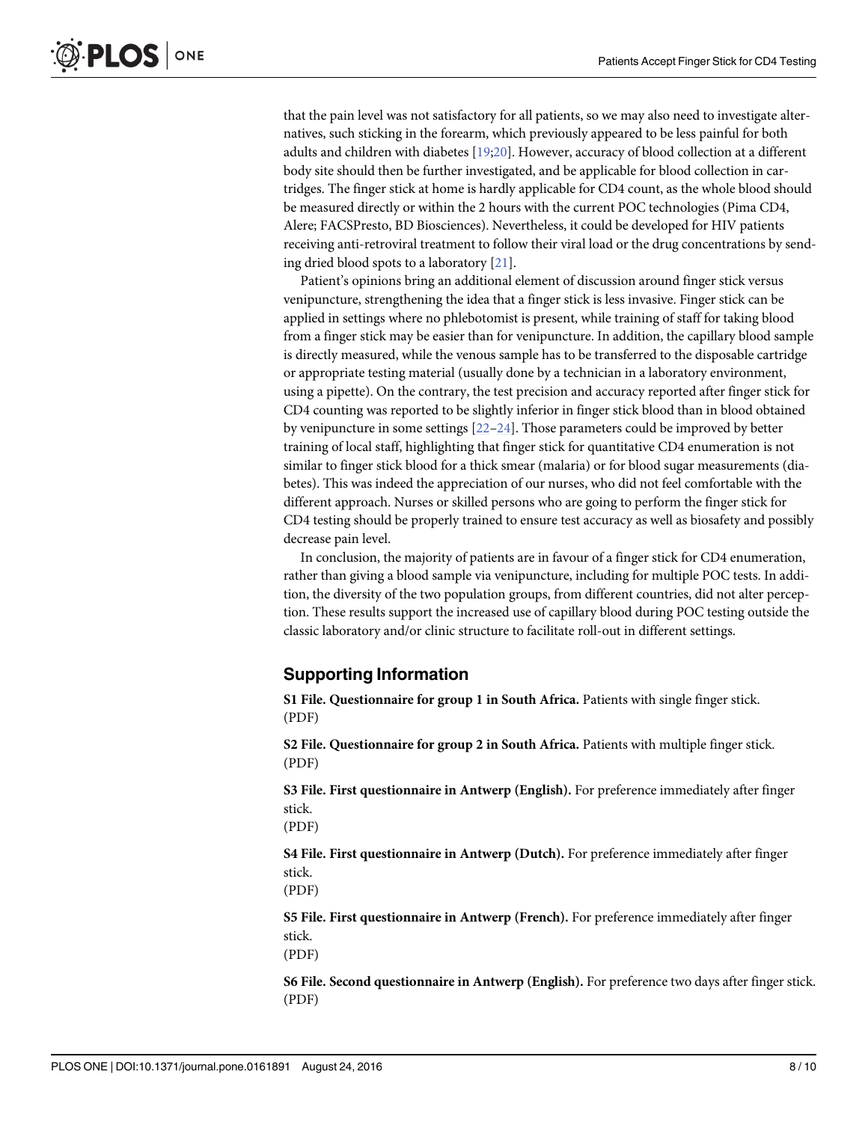<span id="page-7-0"></span>that the pain level was not satisfactory for all patients, so we may also need to investigate alternatives, such sticking in the forearm, which previously appeared to be less painful for both adults and children with diabetes [\[19;20\]](#page-9-0). However, accuracy of blood collection at a different body site should then be further investigated, and be applicable for blood collection in cartridges. The finger stick at home is hardly applicable for CD4 count, as the whole blood should be measured directly or within the 2 hours with the current POC technologies (Pima CD4, Alere; FACSPresto, BD Biosciences). Nevertheless, it could be developed for HIV patients receiving anti-retroviral treatment to follow their viral load or the drug concentrations by sending dried blood spots to a laboratory [\[21\]](#page-9-0).

Patient's opinions bring an additional element of discussion around finger stick versus venipuncture, strengthening the idea that a finger stick is less invasive. Finger stick can be applied in settings where no phlebotomist is present, while training of staff for taking blood from a finger stick may be easier than for venipuncture. In addition, the capillary blood sample is directly measured, while the venous sample has to be transferred to the disposable cartridge or appropriate testing material (usually done by a technician in a laboratory environment, using a pipette). On the contrary, the test precision and accuracy reported after finger stick for CD4 counting was reported to be slightly inferior in finger stick blood than in blood obtained by venipuncture in some settings [[22](#page-9-0)–[24](#page-9-0)]. Those parameters could be improved by better training of local staff, highlighting that finger stick for quantitative CD4 enumeration is not similar to finger stick blood for a thick smear (malaria) or for blood sugar measurements (diabetes). This was indeed the appreciation of our nurses, who did not feel comfortable with the different approach. Nurses or skilled persons who are going to perform the finger stick for CD4 testing should be properly trained to ensure test accuracy as well as biosafety and possibly decrease pain level.

In conclusion, the majority of patients are in favour of a finger stick for CD4 enumeration, rather than giving a blood sample via venipuncture, including for multiple POC tests. In addition, the diversity of the two population groups, from different countries, did not alter perception. These results support the increased use of capillary blood during POC testing outside the classic laboratory and/or clinic structure to facilitate roll-out in different settings.

# Supporting Information

[S1 File.](http://www.plosone.org/article/fetchSingleRepresentation.action?uri=info:doi/10.1371/journal.pone.0161891.s001) Questionnaire for group 1 in South Africa. Patients with single finger stick. (PDF)

[S2 File.](http://www.plosone.org/article/fetchSingleRepresentation.action?uri=info:doi/10.1371/journal.pone.0161891.s002) Questionnaire for group 2 in South Africa. Patients with multiple finger stick. (PDF)

[S3 File.](http://www.plosone.org/article/fetchSingleRepresentation.action?uri=info:doi/10.1371/journal.pone.0161891.s003) First questionnaire in Antwerp (English). For preference immediately after finger stick.

(PDF)

[S4 File.](http://www.plosone.org/article/fetchSingleRepresentation.action?uri=info:doi/10.1371/journal.pone.0161891.s004) First questionnaire in Antwerp (Dutch). For preference immediately after finger stick.

(PDF)

[S5 File.](http://www.plosone.org/article/fetchSingleRepresentation.action?uri=info:doi/10.1371/journal.pone.0161891.s005) First questionnaire in Antwerp (French). For preference immediately after finger stick.

(PDF)

[S6 File.](http://www.plosone.org/article/fetchSingleRepresentation.action?uri=info:doi/10.1371/journal.pone.0161891.s006) Second questionnaire in Antwerp (English). For preference two days after finger stick. (PDF)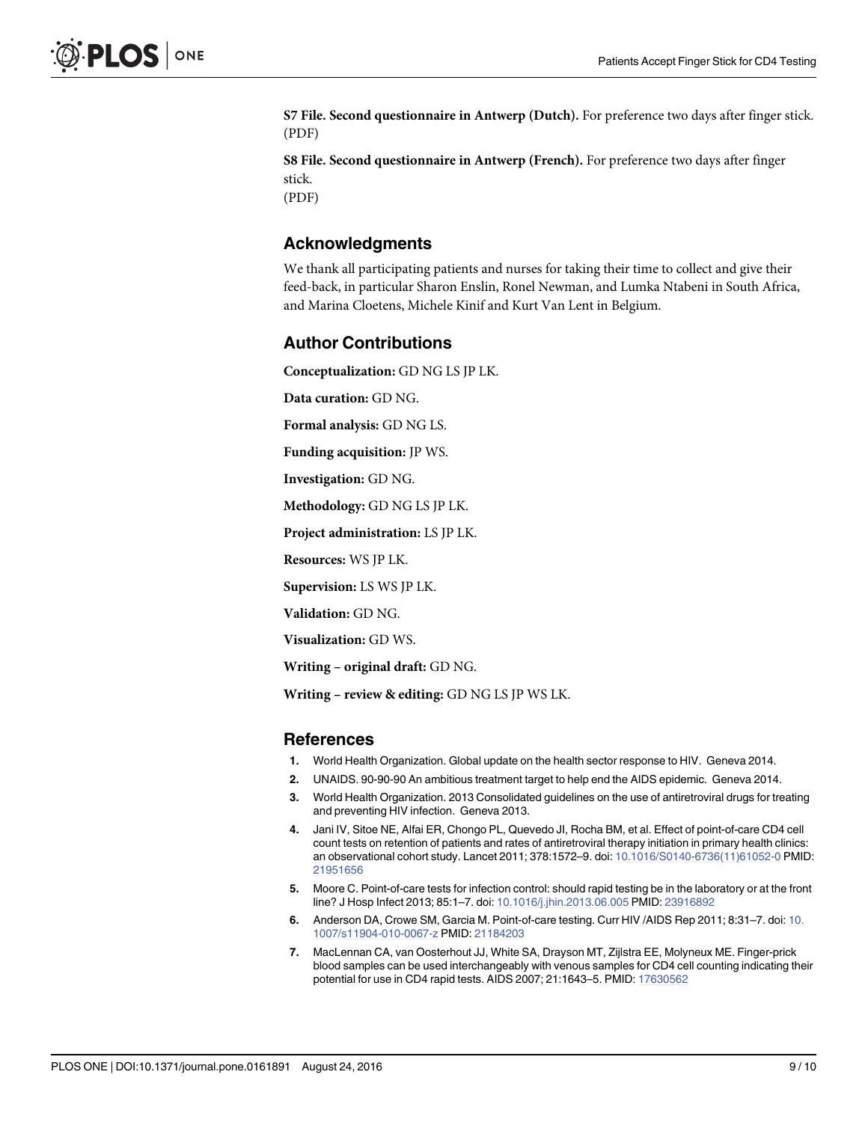<span id="page-8-0"></span>[S7 File.](http://www.plosone.org/article/fetchSingleRepresentation.action?uri=info:doi/10.1371/journal.pone.0161891.s007) Second questionnaire in Antwerp (Dutch). For preference two days after finger stick. (PDF)

[S8 File.](http://www.plosone.org/article/fetchSingleRepresentation.action?uri=info:doi/10.1371/journal.pone.0161891.s008) Second questionnaire in Antwerp (French). For preference two days after finger stick.

(PDF)

### Acknowledgments

We thank all participating patients and nurses for taking their time to collect and give their feed-back, in particular Sharon Enslin, Ronel Newman, and Lumka Ntabeni in South Africa, and Marina Cloetens, Michele Kinif and Kurt Van Lent in Belgium.

# Author Contributions

Conceptualization: GD NG LS JP LK.

Data curation: GD NG.

Formal analysis: GD NG LS.

Funding acquisition: JP WS.

Investigation: GD NG.

Methodology: GD NG LS JP LK.

Project administration: LS JP LK.

Resources: WS JP LK.

Supervision: LS WS JP LK.

Validation: GD NG.

Visualization: GD WS.

Writing – original draft: GD NG.

Writing – review & editing: GD NG LS JP WS LK.

#### References

- [1.](#page-1-0) World Health Organization. Global update on the health sector response to HIV. Geneva 2014.
- [2.](#page-1-0) UNAIDS. 90-90-90 An ambitious treatment target to help end the AIDS epidemic. Geneva 2014.
- [3.](#page-1-0) World Health Organization. 2013 Consolidated guidelines on the use of antiretroviral drugs for treating and preventing HIV infection. Geneva 2013.
- [4.](#page-1-0) Jani IV, Sitoe NE, Alfai ER, Chongo PL, Quevedo JI, Rocha BM, et al. Effect of point-of-care CD4 cell count tests on retention of patients and rates of antiretroviral therapy initiation in primary health clinics: an observational cohort study. Lancet 2011; 378:1572–9. doi: [10.1016/S0140-6736\(11\)61052-0](http://dx.doi.org/10.1016/S0140-6736(11)61052-0) PMID: [21951656](http://www.ncbi.nlm.nih.gov/pubmed/21951656)
- [5.](#page-1-0) Moore C. Point-of-care tests for infection control: should rapid testing be in the laboratory or at the front line? J Hosp Infect 2013; 85:1-7. doi: [10.1016/j.jhin.2013.06.005](http://dx.doi.org/10.1016/j.jhin.2013.06.005) PMID: [23916892](http://www.ncbi.nlm.nih.gov/pubmed/23916892)
- [6.](#page-1-0) Anderson DA, Crowe SM, Garcia M. Point-of-care testing. Curr HIV /AIDS Rep 2011; 8:31–7. doi: [10.](http://dx.doi.org/10.1007/s11904-010-0067-z) [1007/s11904-010-0067-z](http://dx.doi.org/10.1007/s11904-010-0067-z) PMID: [21184203](http://www.ncbi.nlm.nih.gov/pubmed/21184203)
- [7.](#page-1-0) MacLennan CA, van Oosterhout JJ, White SA, Drayson MT, Zijlstra EE, Molyneux ME. Finger-prick blood samples can be used interchangeably with venous samples for CD4 cell counting indicating their potential for use in CD4 rapid tests. AIDS 2007; 21:1643–5. PMID: [17630562](http://www.ncbi.nlm.nih.gov/pubmed/17630562)